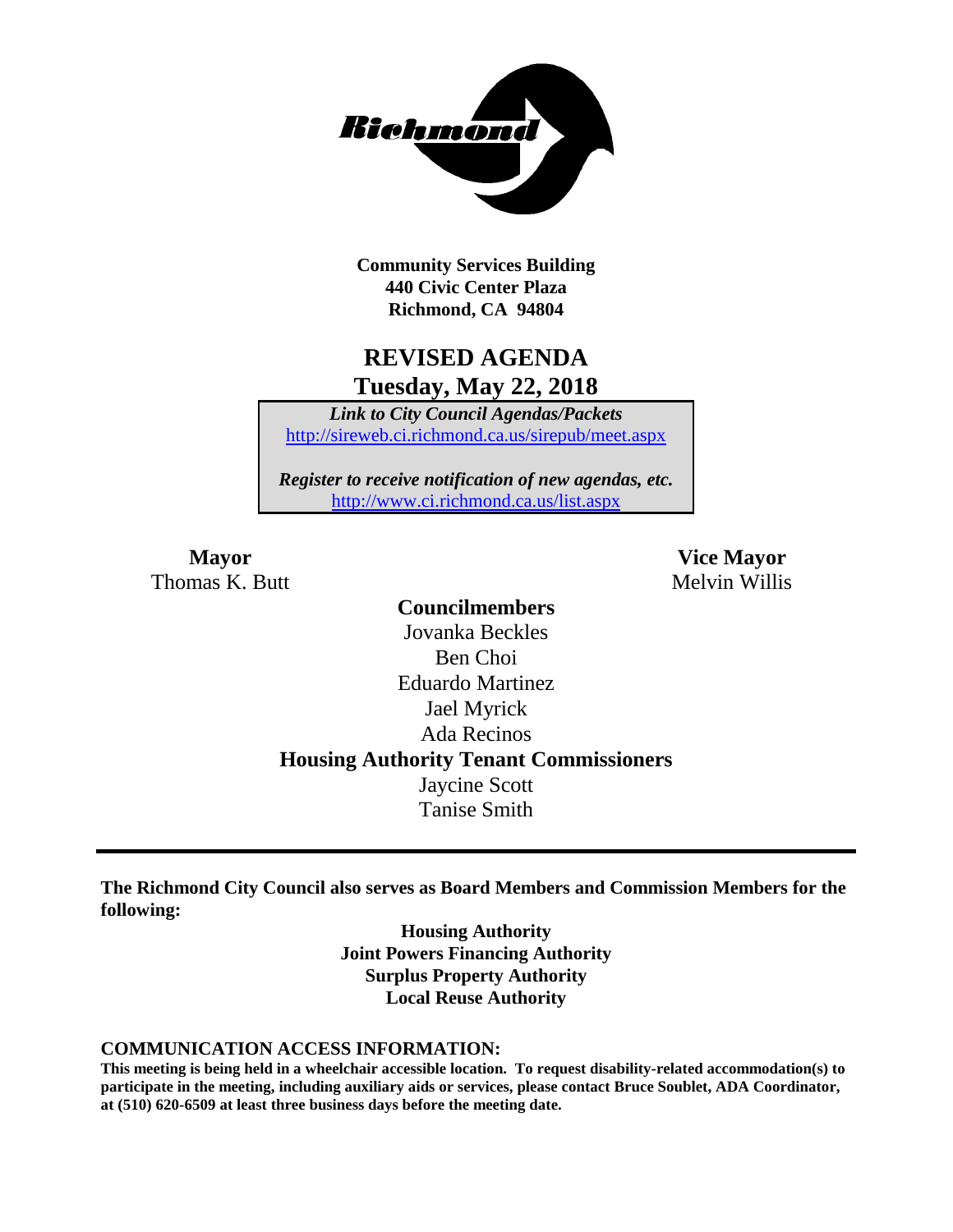

**Community Services Building 440 Civic Center Plaza Richmond, CA 94804**

## **REVISED AGENDA Tuesday, May 22, 2018**

*Link to City Council Agendas/Packets* <http://sireweb.ci.richmond.ca.us/sirepub/meet.aspx>

*Register to receive notification of new agendas, etc.* <http://www.ci.richmond.ca.us/list.aspx>

Thomas K. Butt Melvin Willis

**Mayor Vice Mayor**

**Councilmembers** Jovanka Beckles Ben Choi Eduardo Martinez Jael Myrick Ada Recinos **Housing Authority Tenant Commissioners** Jaycine Scott Tanise Smith

**The Richmond City Council also serves as Board Members and Commission Members for the following:**

> **Housing Authority Joint Powers Financing Authority Surplus Property Authority Local Reuse Authority**

#### **COMMUNICATION ACCESS INFORMATION:**

**This meeting is being held in a wheelchair accessible location. To request disability-related accommodation(s) to participate in the meeting, including auxiliary aids or services, please contact Bruce Soublet, ADA Coordinator, at (510) 620-6509 at least three business days before the meeting date.**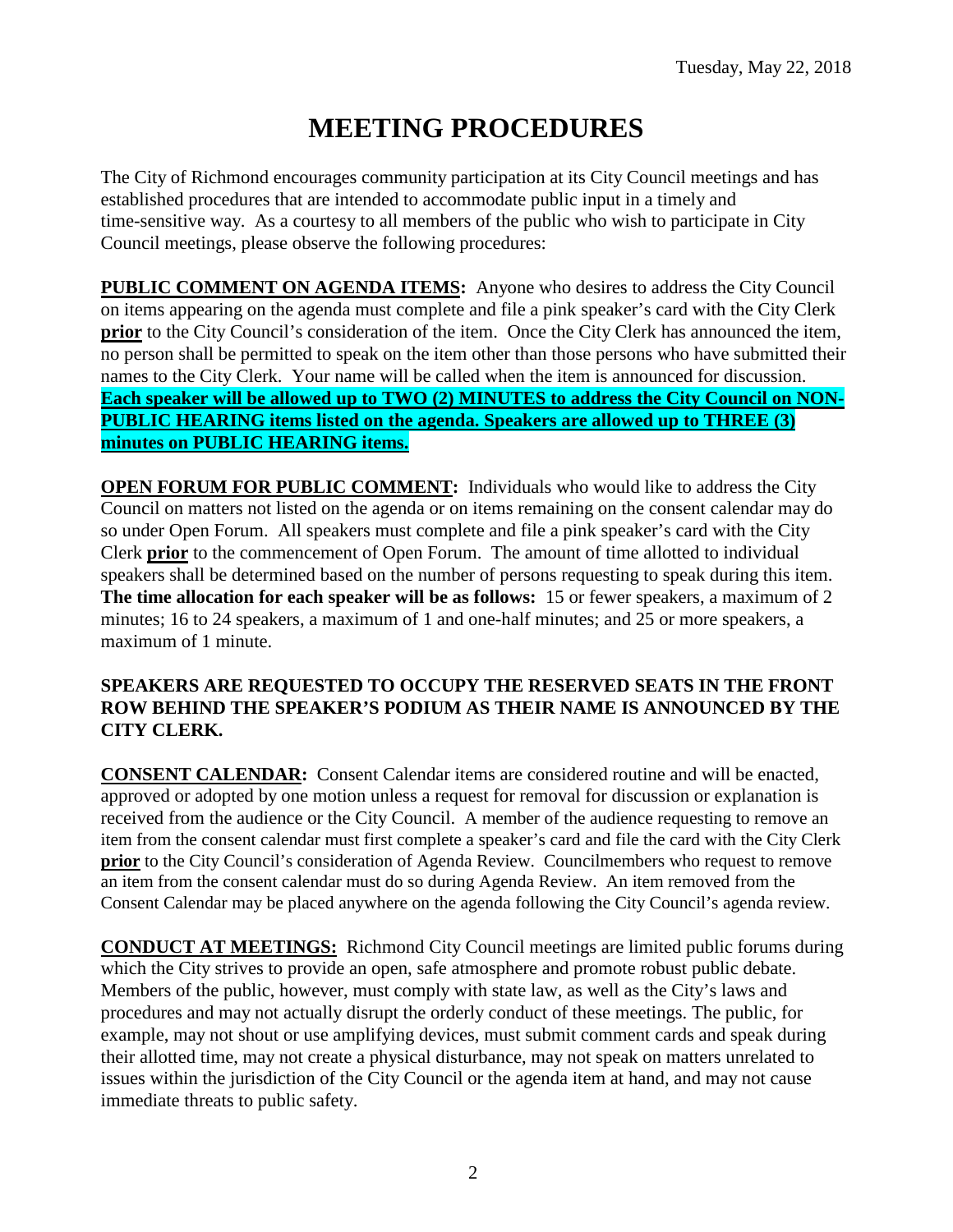# **MEETING PROCEDURES**

The City of Richmond encourages community participation at its City Council meetings and has established procedures that are intended to accommodate public input in a timely and time-sensitive way. As a courtesy to all members of the public who wish to participate in City Council meetings, please observe the following procedures:

**PUBLIC COMMENT ON AGENDA ITEMS:** Anyone who desires to address the City Council on items appearing on the agenda must complete and file a pink speaker's card with the City Clerk **prior** to the City Council's consideration of the item. Once the City Clerk has announced the item, no person shall be permitted to speak on the item other than those persons who have submitted their names to the City Clerk. Your name will be called when the item is announced for discussion. **Each speaker will be allowed up to TWO (2) MINUTES to address the City Council on NON-PUBLIC HEARING items listed on the agenda. Speakers are allowed up to THREE (3) minutes on PUBLIC HEARING items.**

**OPEN FORUM FOR PUBLIC COMMENT:** Individuals who would like to address the City Council on matters not listed on the agenda or on items remaining on the consent calendar may do so under Open Forum. All speakers must complete and file a pink speaker's card with the City Clerk **prior** to the commencement of Open Forum. The amount of time allotted to individual speakers shall be determined based on the number of persons requesting to speak during this item. **The time allocation for each speaker will be as follows:** 15 or fewer speakers, a maximum of 2 minutes; 16 to 24 speakers, a maximum of 1 and one-half minutes; and 25 or more speakers, a maximum of 1 minute.

## **SPEAKERS ARE REQUESTED TO OCCUPY THE RESERVED SEATS IN THE FRONT ROW BEHIND THE SPEAKER'S PODIUM AS THEIR NAME IS ANNOUNCED BY THE CITY CLERK.**

**CONSENT CALENDAR:** Consent Calendar items are considered routine and will be enacted, approved or adopted by one motion unless a request for removal for discussion or explanation is received from the audience or the City Council. A member of the audience requesting to remove an item from the consent calendar must first complete a speaker's card and file the card with the City Clerk **prior** to the City Council's consideration of Agenda Review. Councilmembers who request to remove an item from the consent calendar must do so during Agenda Review. An item removed from the Consent Calendar may be placed anywhere on the agenda following the City Council's agenda review.

**CONDUCT AT MEETINGS:** Richmond City Council meetings are limited public forums during which the City strives to provide an open, safe atmosphere and promote robust public debate. Members of the public, however, must comply with state law, as well as the City's laws and procedures and may not actually disrupt the orderly conduct of these meetings. The public, for example, may not shout or use amplifying devices, must submit comment cards and speak during their allotted time, may not create a physical disturbance, may not speak on matters unrelated to issues within the jurisdiction of the City Council or the agenda item at hand, and may not cause immediate threats to public safety.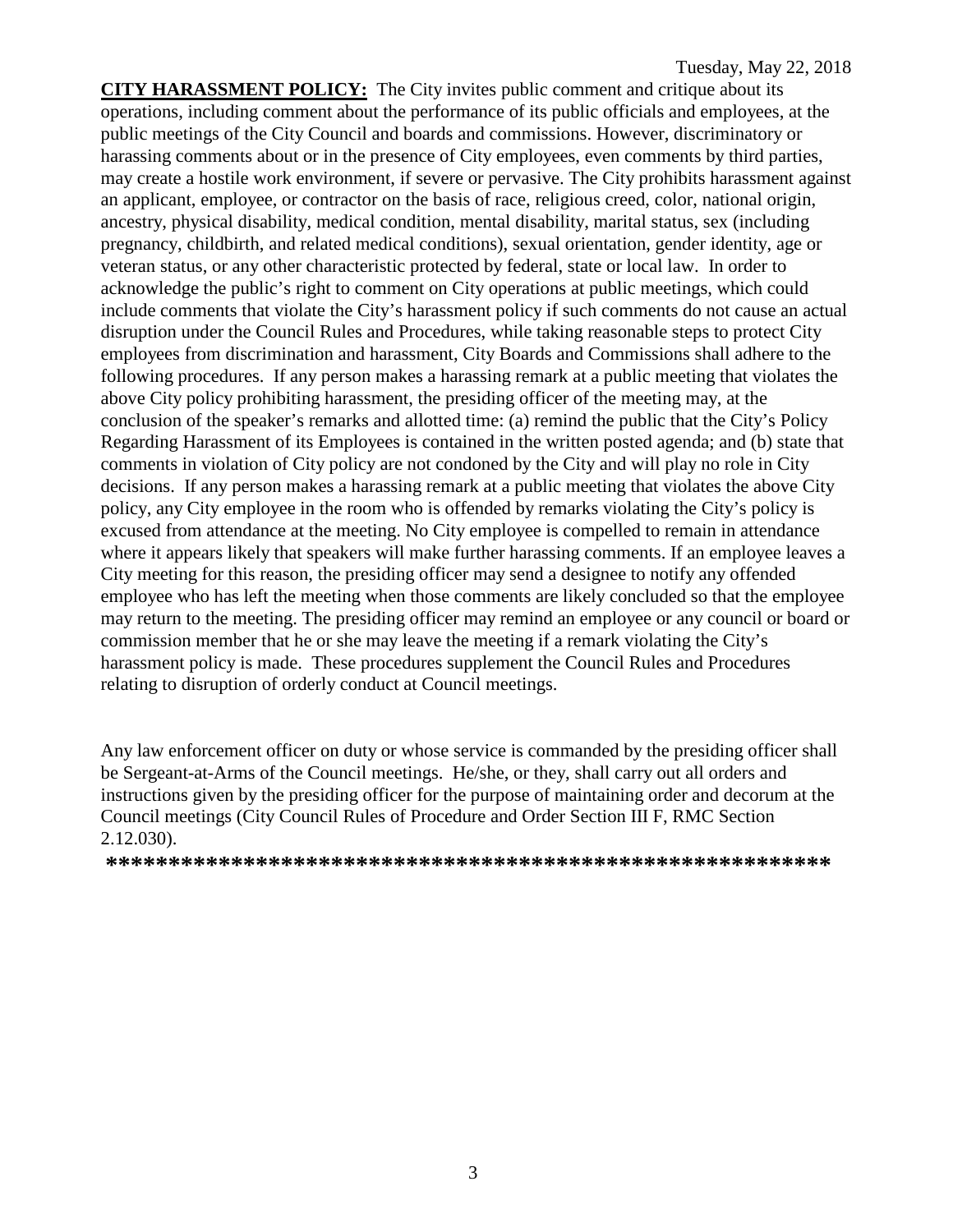**CITY HARASSMENT POLICY:** The City invites public comment and critique about its operations, including comment about the performance of its public officials and employees, at the public meetings of the City Council and boards and commissions. However, discriminatory or harassing comments about or in the presence of City employees, even comments by third parties, may create a hostile work environment, if severe or pervasive. The City prohibits harassment against an applicant, employee, or contractor on the basis of race, religious creed, color, national origin, ancestry, physical disability, medical condition, mental disability, marital status, sex (including pregnancy, childbirth, and related medical conditions), sexual orientation, gender identity, age or veteran status, or any other characteristic protected by federal, state or local law. In order to acknowledge the public's right to comment on City operations at public meetings, which could include comments that violate the City's harassment policy if such comments do not cause an actual disruption under the Council Rules and Procedures, while taking reasonable steps to protect City employees from discrimination and harassment, City Boards and Commissions shall adhere to the following procedures. If any person makes a harassing remark at a public meeting that violates the above City policy prohibiting harassment, the presiding officer of the meeting may, at the conclusion of the speaker's remarks and allotted time: (a) remind the public that the City's Policy Regarding Harassment of its Employees is contained in the written posted agenda; and (b) state that comments in violation of City policy are not condoned by the City and will play no role in City decisions. If any person makes a harassing remark at a public meeting that violates the above City policy, any City employee in the room who is offended by remarks violating the City's policy is excused from attendance at the meeting. No City employee is compelled to remain in attendance where it appears likely that speakers will make further harassing comments. If an employee leaves a City meeting for this reason, the presiding officer may send a designee to notify any offended employee who has left the meeting when those comments are likely concluded so that the employee may return to the meeting. The presiding officer may remind an employee or any council or board or commission member that he or she may leave the meeting if a remark violating the City's harassment policy is made. These procedures supplement the Council Rules and Procedures relating to disruption of orderly conduct at Council meetings.

Any law enforcement officer on duty or whose service is commanded by the presiding officer shall be Sergeant-at-Arms of the Council meetings. He/she, or they, shall carry out all orders and instructions given by the presiding officer for the purpose of maintaining order and decorum at the Council meetings (City Council Rules of Procedure and Order Section III F, RMC Section 2.12.030).

**\*\*\*\*\*\*\*\*\*\*\*\*\*\*\*\*\*\*\*\*\*\*\*\*\*\*\*\*\*\*\*\*\*\*\*\*\*\*\*\*\*\*\*\*\*\*\*\*\*\*\*\*\*\*\*\*\*\***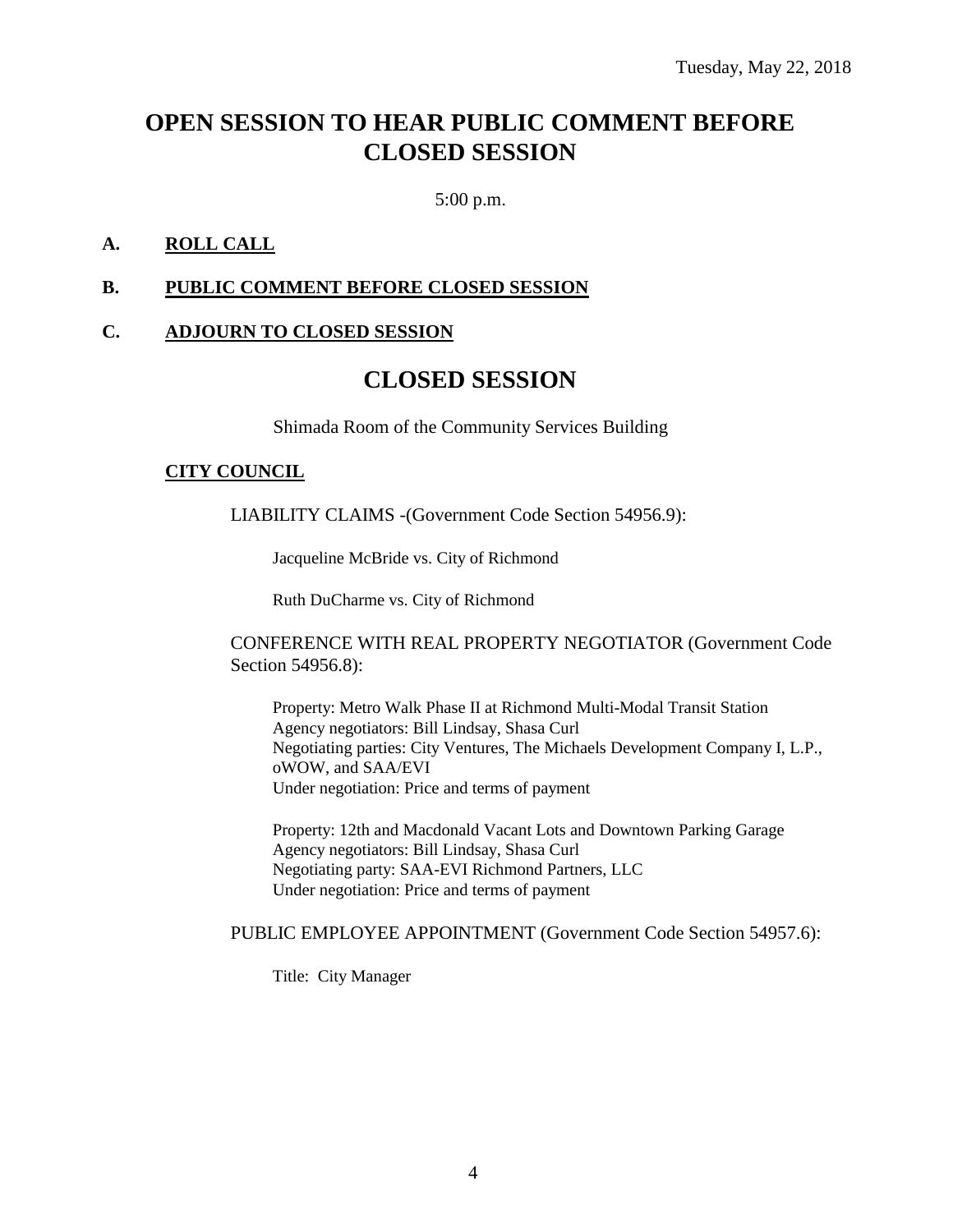## **OPEN SESSION TO HEAR PUBLIC COMMENT BEFORE CLOSED SESSION**

5:00 p.m.

## **A. ROLL CALL**

#### **B. PUBLIC COMMENT BEFORE CLOSED SESSION**

#### **C. ADJOURN TO CLOSED SESSION**

## **CLOSED SESSION**

Shimada Room of the Community Services Building

#### **CITY COUNCIL**

LIABILITY CLAIMS -(Government Code Section 54956.9):

Jacqueline McBride vs. City of Richmond

Ruth DuCharme vs. City of Richmond

CONFERENCE WITH REAL PROPERTY NEGOTIATOR (Government Code Section 54956.8):

Property: Metro Walk Phase II at Richmond Multi-Modal Transit Station Agency negotiators: Bill Lindsay, Shasa Curl Negotiating parties: City Ventures, The Michaels Development Company I, L.P., oWOW, and SAA/EVI Under negotiation: Price and terms of payment

Property: 12th and Macdonald Vacant Lots and Downtown Parking Garage Agency negotiators: Bill Lindsay, Shasa Curl Negotiating party: SAA-EVI Richmond Partners, LLC Under negotiation: Price and terms of payment

PUBLIC EMPLOYEE APPOINTMENT (Government Code Section 54957.6):

Title: City Manager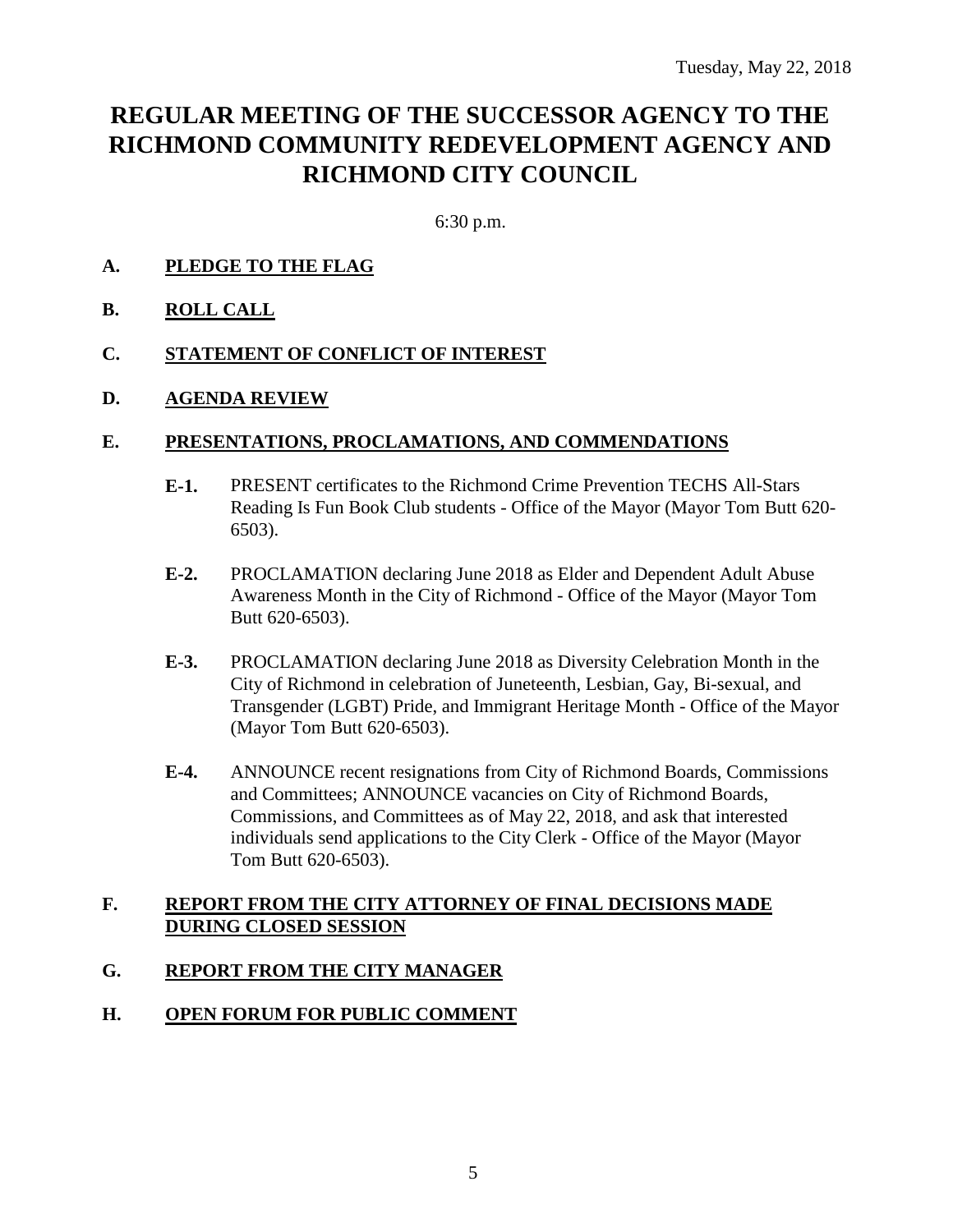## **REGULAR MEETING OF THE SUCCESSOR AGENCY TO THE RICHMOND COMMUNITY REDEVELOPMENT AGENCY AND RICHMOND CITY COUNCIL**

6:30 p.m.

## **A. PLEDGE TO THE FLAG**

**B. ROLL CALL**

#### **C. STATEMENT OF CONFLICT OF INTEREST**

#### **D. AGENDA REVIEW**

#### **E. PRESENTATIONS, PROCLAMATIONS, AND COMMENDATIONS**

- **E-1.** PRESENT certificates to the Richmond Crime Prevention TECHS All-Stars Reading Is Fun Book Club students - Office of the Mayor (Mayor Tom Butt 620- 6503).
- **E-2.** PROCLAMATION declaring June 2018 as Elder and Dependent Adult Abuse Awareness Month in the City of Richmond - Office of the Mayor (Mayor Tom Butt 620-6503).
- **E-3.** PROCLAMATION declaring June 2018 as Diversity Celebration Month in the City of Richmond in celebration of Juneteenth, Lesbian, Gay, Bi-sexual, and Transgender (LGBT) Pride, and Immigrant Heritage Month - Office of the Mayor (Mayor Tom Butt 620-6503).
- **E-4.** ANNOUNCE recent resignations from City of Richmond Boards, Commissions and Committees; ANNOUNCE vacancies on City of Richmond Boards, Commissions, and Committees as of May 22, 2018, and ask that interested individuals send applications to the City Clerk - Office of the Mayor (Mayor Tom Butt 620-6503).

#### **F. REPORT FROM THE CITY ATTORNEY OF FINAL DECISIONS MADE DURING CLOSED SESSION**

## **G. REPORT FROM THE CITY MANAGER**

## **H. OPEN FORUM FOR PUBLIC COMMENT**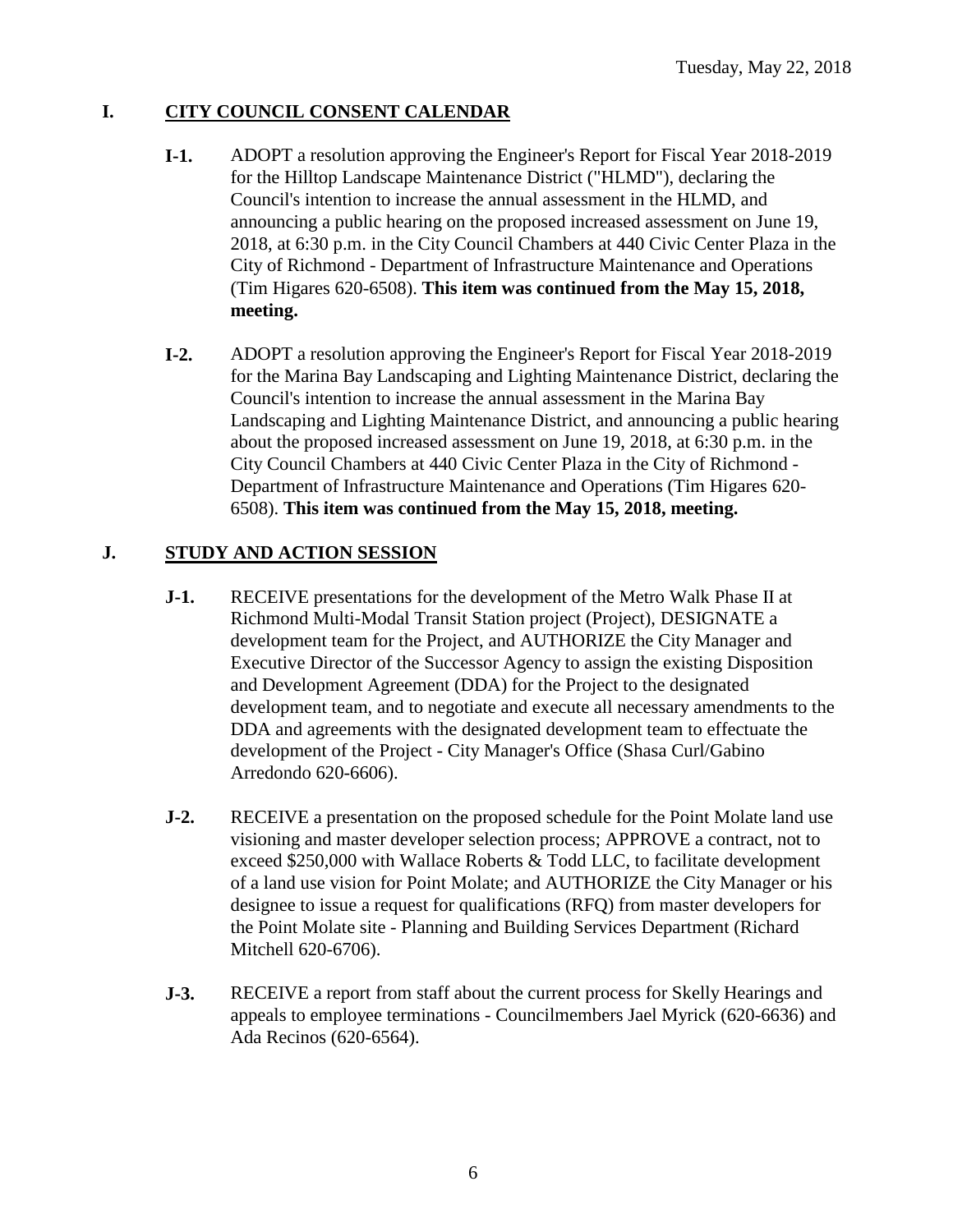## **I. CITY COUNCIL CONSENT CALENDAR**

- **I-1.** ADOPT a resolution approving the Engineer's Report for Fiscal Year 2018-2019 for the Hilltop Landscape Maintenance District ("HLMD"), declaring the Council's intention to increase the annual assessment in the HLMD, and announcing a public hearing on the proposed increased assessment on June 19, 2018, at 6:30 p.m. in the City Council Chambers at 440 Civic Center Plaza in the City of Richmond - Department of Infrastructure Maintenance and Operations (Tim Higares 620-6508). **This item was continued from the May 15, 2018, meeting.**
- **I-2.** ADOPT a resolution approving the Engineer's Report for Fiscal Year 2018-2019 for the Marina Bay Landscaping and Lighting Maintenance District, declaring the Council's intention to increase the annual assessment in the Marina Bay Landscaping and Lighting Maintenance District, and announcing a public hearing about the proposed increased assessment on June 19, 2018, at 6:30 p.m. in the City Council Chambers at 440 Civic Center Plaza in the City of Richmond - Department of Infrastructure Maintenance and Operations (Tim Higares 620- 6508). **This item was continued from the May 15, 2018, meeting.**

## **J. STUDY AND ACTION SESSION**

- **J-1.** RECEIVE presentations for the development of the Metro Walk Phase II at Richmond Multi-Modal Transit Station project (Project), DESIGNATE a development team for the Project, and AUTHORIZE the City Manager and Executive Director of the Successor Agency to assign the existing Disposition and Development Agreement (DDA) for the Project to the designated development team, and to negotiate and execute all necessary amendments to the DDA and agreements with the designated development team to effectuate the development of the Project - City Manager's Office (Shasa Curl/Gabino Arredondo 620-6606).
- **J-2.** RECEIVE a presentation on the proposed schedule for the Point Molate land use visioning and master developer selection process; APPROVE a contract, not to exceed \$250,000 with Wallace Roberts & Todd LLC, to facilitate development of a land use vision for Point Molate; and AUTHORIZE the City Manager or his designee to issue a request for qualifications (RFQ) from master developers for the Point Molate site - Planning and Building Services Department (Richard Mitchell 620-6706).
- **J-3.** RECEIVE a report from staff about the current process for Skelly Hearings and appeals to employee terminations - Councilmembers Jael Myrick (620-6636) and Ada Recinos (620-6564).